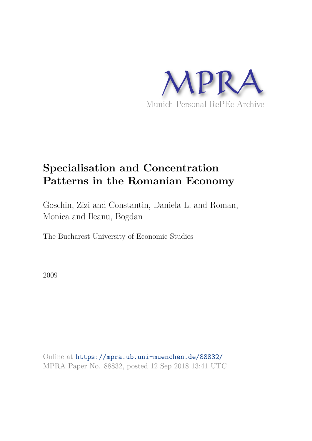

# **Specialisation and Concentration Patterns in the Romanian Economy**

Goschin, Zizi and Constantin, Daniela L. and Roman, Monica and Ileanu, Bogdan

The Bucharest University of Economic Studies

2009

Online at https://mpra.ub.uni-muenchen.de/88832/ MPRA Paper No. 88832, posted 12 Sep 2018 13:41 UTC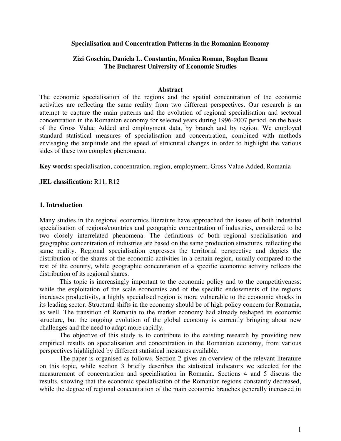## **Specialisation and Concentration Patterns in the Romanian Economy**

## **Zizi Goschin, Daniela L. Constantin, Monica Roman, Bogdan Ileanu The Bucharest University of Economic Studies**

#### **Abstract**

The economic specialisation of the regions and the spatial concentration of the economic activities are reflecting the same reality from two different perspectives. Our research is an attempt to capture the main patterns and the evolution of regional specialisation and sectoral concentration in the Romanian economy for selected years during 1996-2007 period, on the basis of the Gross Value Added and employment data, by branch and by region. We employed standard statistical measures of specialisation and concentration, combined with methods envisaging the amplitude and the speed of structural changes in order to highlight the various sides of these two complex phenomena.

**Key words:** specialisation, concentration, region, employment, Gross Value Added, Romania

**JEL classification:** R11, R12

## **1. Introduction**

Many studies in the regional economics literature have approached the issues of both industrial specialisation of regions/countries and geographic concentration of industries, considered to be two closely interrelated phenomena. The definitions of both regional specialisation and geographic concentration of industries are based on the same production structures, reflecting the same reality. Regional specialisation expresses the territorial perspective and depicts the distribution of the shares of the economic activities in a certain region, usually compared to the rest of the country, while geographic concentration of a specific economic activity reflects the distribution of its regional shares.

This topic is increasingly important to the economic policy and to the competitiveness: while the exploitation of the scale economies and of the specific endowments of the regions increases productivity, a highly specialised region is more vulnerable to the economic shocks in its leading sector. Structural shifts in the economy should be of high policy concern for Romania, as well. The transition of Romania to the market economy had already reshaped its economic structure, but the ongoing evolution of the global economy is currently bringing about new challenges and the need to adapt more rapidly.

The objective of this study is to contribute to the existing research by providing new empirical results on specialisation and concentration in the Romanian economy, from various perspectives highlighted by different statistical measures available.

The paper is organised as follows. Section 2 gives an overview of the relevant literature on this topic, while section 3 briefly describes the statistical indicators we selected for the measurement of concentration and specialisation in Romania. Sections 4 and 5 discuss the results, showing that the economic specialisation of the Romanian regions constantly decreased, while the degree of regional concentration of the main economic branches generally increased in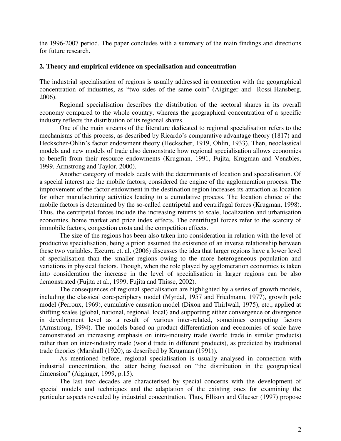the 1996-2007 period. The paper concludes with a summary of the main findings and directions for future research.

## **2. Theory and empirical evidence on specialisation and concentration**

The industrial specialisation of regions is usually addressed in connection with the geographical concentration of industries, as "two sides of the same coin" (Aiginger and Rossi-Hansberg, 2006).

 Regional specialisation describes the distribution of the sectoral shares in its overall economy compared to the whole country, whereas the geographical concentration of a specific industry reflects the distribution of its regional shares.

One of the main streams of the literature dedicated to regional specialisation refers to the mechanisms of this process, as described by Ricardo's comparative advantage theory (1817) and Heckscher-Ohlin's factor endowment theory (Heckscher, 1919, Ohlin, 1933). Then, neoclassical models and new models of trade also demonstrate how regional specialisation allows economies to benefit from their resource endowments (Krugman, 1991, Fujita, Krugman and Venables, 1999, Armstrong and Taylor, 2000).

Another category of models deals with the determinants of location and specialisation. Of a special interest are the mobile factors, considered the engine of the agglomeration process. The improvement of the factor endowment in the destination region increases its attraction as location for other manufacturing activities leading to a cumulative process. The location choice of the mobile factors is determined by the so-called centripetal and centrifugal forces (Krugman, 1998). Thus, the centripetal forces include the increasing returns to scale, localization and urbanisation economies, home market and price index effects. The centrifugal forces refer to the scarcity of immobile factors, congestion costs and the competition effects.

The size of the regions has been also taken into consideration in relation with the level of productive specialisation, being a priori assumed the existence of an inverse relationship between these two variables. Ezcurra et. al. (2006) discusses the idea that larger regions have a lower level of specialisation than the smaller regions owing to the more heterogeneous population and variations in physical factors. Though, when the role played by agglomeration economies is taken into consideration the increase in the level of specialisation in larger regions can be also demonstrated (Fujita et al., 1999, Fujita and Thisse, 2002).

 The consequences of regional specialisation are highlighted by a series of growth models, including the classical core-periphery model (Myrdal, 1957 and Friedmann, 1977), growth pole model (Perroux, 1969), cumulative causation model (Dixon and Thirlwall, 1975), etc., applied at shifting scales (global, national, regional, local) and supporting either convergence or divergence in development level as a result of various inter-related, sometimes competing factors (Armstrong, 1994). The models based on product differentiation and economies of scale have demonstrated an increasing emphasis on intra-industry trade (world trade in similar products) rather than on inter-industry trade (world trade in different products), as predicted by traditional trade theories (Marshall (1920), as described by Krugman (1991)).

As mentioned before, regional specialisation is usually analysed in connection with industrial concentration, the latter being focused on "the distribution in the geographical dimension" (Aiginger, 1999, p.15).

The last two decades are characterised by special concerns with the development of special models and techniques and the adaptation of the existing ones for examining the particular aspects revealed by industrial concentration. Thus, Ellison and Glaeser (1997) propose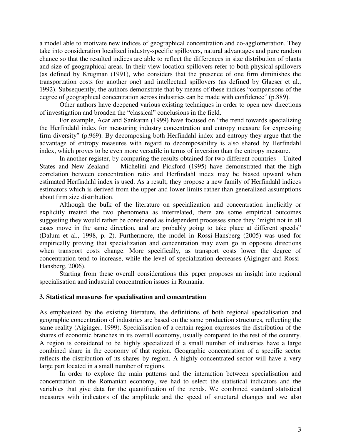a model able to motivate new indices of geographical concentration and co-agglomeration. They take into consideration localized industry-specific spillovers, natural advantages and pure random chance so that the resulted indices are able to reflect the differences in size distribution of plants and size of geographical areas. In their view location spillovers refer to both physical spillovers (as defined by Krugman (1991), who considers that the presence of one firm diminishes the transportation costs for another one) and intellectual spillovers (as defined by Glaeser et al., 1992). Subsequently, the authors demonstrate that by means of these indices "comparisons of the degree of geographical concentration across industries can be made with confidence" (p.889).

Other authors have deepened various existing techniques in order to open new directions of investigation and broaden the "classical" conclusions in the field.

For example, Acar and Sankaran (1999) have focused on "the trend towards specializing the Herfindahl index for measuring industry concentration and entropy measure for expressing firm diversity" (p.969). By decomposing both Herfindahl index and entropy they argue that the advantage of entropy measures with regard to decomposability is also shared by Herfindahl index, which proves to be even more versatile in terms of inversion than the entropy measure.

In another register, by comparing the results obtained for two different countries – United States and New Zealand - Michelini and Pickford (1995) have demonstrated that the high correlation between concentration ratio and Herfindahl index may be biased upward when estimated Herfindahl index is used. As a result, they propose a new family of Herfindahl indices estimators which is derived from the upper and lower limits rather than generalized assumptions about firm size distribution.

Although the bulk of the literature on specialization and concentration implicitly or explicitly treated the two phenomena as interrelated, there are some empirical outcomes suggesting they would rather be considered as independent processes since they "might not in all cases move in the same direction, and are probably going to take place at different speeds" (Dalum et al., 1998, p. 2). Furthermore, the model in Rossi-Hansberg (2005) was used for empirically proving that specialization and concentration may even go in opposite directions when transport costs change. More specifically, as transport costs lower the degree of concentration tend to increase, while the level of specialization decreases (Aiginger and Rossi-Hansberg, 2006).

 Starting from these overall considerations this paper proposes an insight into regional specialisation and industrial concentration issues in Romania.

#### **3. Statistical measures for specialisation and concentration**

As emphasized by the existing literature, the definitions of both regional specialisation and geographic concentration of industries are based on the same production structures, reflecting the same reality (Aiginger, 1999). Specialisation of a certain region expresses the distribution of the shares of economic branches in its overall economy, usually compared to the rest of the country. A region is considered to be highly specialized if a small number of industries have a large combined share in the economy of that region. Geographic concentration of a specific sector reflects the distribution of its shares by region. A highly concentrated sector will have a very large part located in a small number of regions.

In order to explore the main patterns and the interaction between specialisation and concentration in the Romanian economy, we had to select the statistical indicators and the variables that give data for the quantification of the trends. We combined standard statistical measures with indicators of the amplitude and the speed of structural changes and we also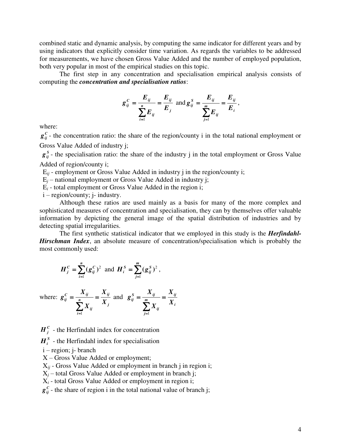combined static and dynamic analysis, by computing the same indicator for different years and by using indicators that explicitly consider time variation. As regards the variables to be addressed for measurements, we have chosen Gross Value Added and the number of employed population, both very popular in most of the empirical studies on this topic.

The first step in any concentration and specialisation empirical analysis consists of computing the *concentration and specialisation ratios*:

$$
g_{ij}^C = \frac{E_{ij}}{\sum_{i=1}^n E_{ij}} = \frac{E_{ij}}{E_j} \text{ and } g_{ij}^S = \frac{E_{ij}}{\sum_{j=1}^m E_{ij}} = \frac{E_{ij}}{E_i},
$$

where:

 $g_{ij}^C$  – the concentration ratio: the share of the region/county i in the total national employment or Gross Value Added of industry j;

 $g_{ij}^s$  - the specialisation ratio: the share of the industry j in the total employment or Gross Value Added of region/county i;

E*ij* - employment or Gross Value Added in industry j in the region/county i;

 $E_i$  – national employment or Gross Value Added in industry j;

 $E_i$  - total employment or Gross Value Added in the region i;

i – region/county; j- industry.

Although these ratios are used mainly as a basis for many of the more complex and sophisticated measures of concentration and specialisation, they can by themselves offer valuable information by depicting the general image of the spatial distribution of industries and by detecting spatial irregularities.

The first synthetic statistical indicator that we employed in this study is the *Herfindahl-Hirschman Index*, an absolute measure of concentration/specialisation which is probably the most commonly used:

$$
H_j^C = \sum_{i=1}^n (g_{ij}^C)^2 \text{ and } H_i^S = \sum_{j=1}^m (g_{ij}^S)^2,
$$

where: 
$$
g_{ij}^C = \frac{X_{ij}}{\sum_{i=1}^n X_{ij}} = \frac{X_{ij}}{X_j}
$$
 and  $g_{ij}^S = \frac{X_{ij}}{\sum_{j=1}^m X_{ij}} = \frac{X_{ij}}{X_i}$ 

 $H_j^c$  - the Herfindahl index for concentration

 $H_i^S$  - the Herfindahl index for specialisation

i – region; j- branch

X – Gross Value Added or employment;

X*ij* - Gross Value Added or employment in branch j in region i;

 $X_i$  – total Gross Value Added or employment in branch j;

 $X_i$  - total Gross Value Added or employment in region i;

 $g_{ij}^C$  - the share of region i in the total national value of branch j;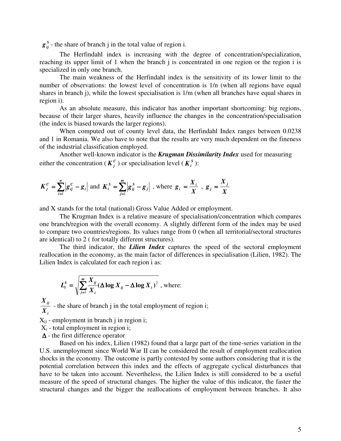$g_{ij}^s$  - the share of branch j in the total value of region i.

The Herfindahl index is increasing with the degree of concentration/specialization, reaching its upper limit of 1 when the branch j is concentrated in one region or the region i is specialized in only one branch.

The main weakness of the Herfindahl index is the sensitivity of its lower limit to the number of observations: the lowest level of concentration is 1/n (when all regions have equal shares in branch j), while the lowest specialisation is 1/m (when all branches have equal shares in region i).

As an absolute measure, this indicator has another important shortcoming: big regions, because of their larger shares, heavily influence the changes in the concentration/specialisation (the index is biased towards the larger regions).

When computed out of county level data, the Herfindahl Index ranges between 0.0238 and 1 in Romania. We also have to note that the results are very much dependent on the fineness of the industrial classification employed.

Another well-known indicator is the *Krugman Dissimilarity Index* used for measuring either the concentration ( $K_j^c$ ) or specialisation level ( $K_i^s$ ):

$$
K_j^c = \sum_{i=1}^n |g_{ij}^c - g_i|
$$
 and  $K_i^s = \sum_{j=1}^m |g_{ij}^s - g_j|$ , where  $g_i = \frac{X_i}{X}$ ,  $g_j = \frac{X_j}{X}$ 

and X stands for the total (national) Gross Value Added or employment.

The Krugman Index is a relative measure of specialisation/concentration which compares one branch/region with the overall economy. A slightly different form of the index may be used to compare two countries/regions. Its values range from 0 (when all territorial/sectoral structures are identical) to 2 ( for totally different structures).

The third indicator, the *Lilien Index* captures the speed of the sectoral employment reallocation in the economy, as the main factor of differences in specialisation (Lilien, 1982). The Lilien Index is calculated for each region i as:

$$
L_i^S = \sqrt{\sum_{j=1}^m \frac{X_{ij}}{X_i} (\Delta \log X_{ij} - \Delta \log X_i)^2}
$$
, where:

*i ij X X* - the share of branch j in the total employment of region i;

 $X_{ij}$  - employment in branch j in region i;

 $X_i$  - total employment in region i;

 $\Delta$  - the first difference operator

Based on his index, Lilien (1982) found that a large part of the time-series variation in the U.S. unemployment since World War II can be considered the result of employment reallocation shocks in the economy. The outcome is partly contested by some authors considering that it is the potential correlation between this index and the effects of aggregate cyclical disturbances that have to be taken into account. Nevertheless, the Lilien Index is still considered to be a useful measure of the speed of structural changes. The higher the value of this indicator, the faster the structural changes and the bigger the reallocations of employment between branches. It also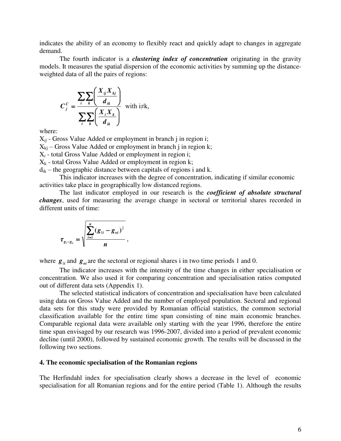indicates the ability of an economy to flexibly react and quickly adapt to changes in aggregate demand.

The fourth indicator is a *clustering index of concentration* originating in the gravity models. It measures the spatial dispersion of the economic activities by summing up the distanceweighted data of all the pairs of regions:

$$
C_j^c = \frac{\sum_{i} \sum_{k} \left( \frac{X_{ij} X_{kj}}{d_{ik}} \right)}{\sum_{i} \sum_{k} \left( \frac{X_i X_k}{d_{ik}} \right)}
$$
 with  $i \neq k$ ,

where:

X*ij* - Gross Value Added or employment in branch j in region i;  $X_{ki}$  – Gross Value Added or employment in branch j in region k; X*i* - total Gross Value Added or employment in region i;  $X_k$  - total Gross Value Added or employment in region k;

 $d_{ik}$  – the geographic distance between capitals of regions i and k.

 This indicator increases with the degree of concentration, indicating if similar economic activities take place in geographically low distanced regions.

The last indicator employed in our research is the *coefficient of absolute structural changes*, used for measuring the average change in sectoral or territorial shares recorded in different units of time:

$$
\tau_{g_i-g_o} = \sqrt{\frac{\sum_{i=1}^n (g_{1i} - g_{oi})^2}{n}},
$$

where  $g_{1i}$  and  $g_{0i}$  are the sectoral or regional shares i in two time periods 1 and 0.

 The indicator increases with the intensity of the time changes in either specialisation or concentration. We also used it for comparing concentration and specialisation ratios computed out of different data sets (Appendix 1).

The selected statistical indicators of concentration and specialisation have been calculated using data on Gross Value Added and the number of employed population. Sectoral and regional data sets for this study were provided by Romanian official statistics, the common sectorial classification available for the entire time span consisting of nine main economic branches. Comparable regional data were available only starting with the year 1996, therefore the entire time span envisaged by our research was 1996-2007, divided into a period of prevalent economic decline (until 2000), followed by sustained economic growth. The results will be discussed in the following two sections.

#### **4. The economic specialisation of the Romanian regions**

The Herfindahl index for specialisation clearly shows a decrease in the level of economic specialisation for all Romanian regions and for the entire period (Table 1). Although the results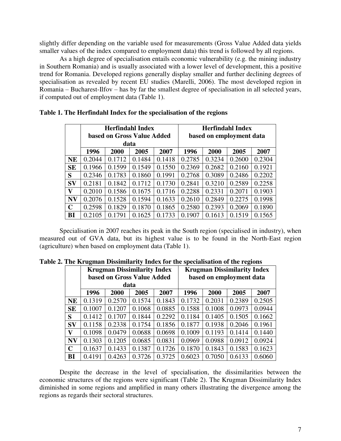slightly differ depending on the variable used for measurements (Gross Value Added data yields smaller values of the index compared to employment data) this trend is followed by all regions.

As a high degree of specialisation entails economic vulnerability (e.g. the mining industry in Southern Romania) and is usually associated with a lower level of development, this a positive trend for Romania. Developed regions generally display smaller and further declining degrees of specialisation as revealed by recent EU studies (Marelli, 2006). The most developed region in Romania – Bucharest-Ilfov – has by far the smallest degree of specialisation in all selected years, if computed out of employment data (Table 1).

|              |                              | <b>Herfindahl Index</b><br>based on Gross Value Added |        |        | <b>Herfindahl Index</b><br>based on employment data |        |        |        |  |
|--------------|------------------------------|-------------------------------------------------------|--------|--------|-----------------------------------------------------|--------|--------|--------|--|
|              |                              | data                                                  |        |        |                                                     |        |        |        |  |
|              | 1996<br>2000<br>2005<br>2007 |                                                       |        |        | 1996                                                | 2000   | 2005   | 2007   |  |
| <b>NE</b>    | 0.2044                       | 0.1712                                                | 0.1484 | 0.1418 | 0.2785                                              | 0.3234 | 0.2600 | 0.2304 |  |
| <b>SE</b>    | 0.1966                       | 0.1599                                                | 0.1549 | 0.1550 | 0.2369                                              | 0.2682 | 0.2160 | 0.1921 |  |
| S            | 0.2346                       | 0.1783                                                | 0.1860 | 0.1991 | 0.2768                                              | 0.3089 | 0.2486 | 0.2202 |  |
| <b>SV</b>    | 0.2181                       | 0.1842                                                | 0.1712 | 0.1730 | 0.2841                                              | 0.3210 | 0.2589 | 0.2258 |  |
| $\mathbf{V}$ | 0.2010                       | 0.1586                                                | 0.1675 | 0.1716 | 0.2288                                              | 0.2331 | 0.2071 | 0.1903 |  |
| <b>NV</b>    | 0.2076                       | 0.1528                                                | 0.1594 | 0.1633 | 0.2610                                              | 0.2849 | 0.2275 | 0.1998 |  |
| $\mathbf C$  | 0.2598                       | 0.1829                                                | 0.1870 | 0.1865 | 0.2580                                              | 0.2393 | 0.2069 | 0.1890 |  |
| BI           | 0.2105                       | 0.1791                                                | 0.1625 | 0.1733 | 0.1907                                              | 0.1613 | 0.1519 | 0.1565 |  |

**Table 1. The Herfindahl Index for the specialisation of the regions** 

Specialisation in 2007 reaches its peak in the South region (specialised in industry), when measured out of GVA data, but its highest value is to be found in the North-East region (agriculture) when based on employment data (Table 1).

|             |        | <b>Krugman Dissimilarity Index</b> |        |        | <b>Krugman Dissimilarity Index</b> |        |        |        |  |
|-------------|--------|------------------------------------|--------|--------|------------------------------------|--------|--------|--------|--|
|             |        | based on Gross Value Added         |        |        | based on employment data           |        |        |        |  |
|             |        |                                    | data   |        |                                    |        |        |        |  |
|             | 1996   | 2000                               | 2005   | 2007   | 1996                               | 2000   | 2005   | 2007   |  |
| <b>NE</b>   | 0.1319 | 0.2570                             | 0.1574 | 0.1843 | 0.1732                             | 0.2031 | 0.2389 | 0.2505 |  |
| <b>SE</b>   | 0.1007 | 0.1207                             | 0.1068 | 0.0885 | 0.1588                             | 0.1008 | 0.0973 | 0.0944 |  |
| S           | 0.1412 | 0.1707                             | 0.1844 | 0.2292 | 0.1184                             | 0.1405 | 0.1505 | 0.1662 |  |
| <b>SV</b>   | 0.1158 | 0.2338                             | 0.1754 | 0.1856 | 0.1877                             | 0.1938 | 0.2046 | 0.1961 |  |
| V           | 0.1098 | 0.0479                             | 0.0688 | 0.0698 | 0.1009                             | 0.1193 | 0.1414 | 0.1440 |  |
| <b>NV</b>   | 0.1303 | 0.1205                             | 0.0685 | 0.0831 | 0.0969                             | 0.0988 | 0.0912 | 0.0924 |  |
| $\mathbf C$ | 0.1637 | 0.1433                             | 0.1387 | 0.1726 | 0.1870                             | 0.1843 | 0.1583 | 0.1623 |  |
| BI          | 0.4191 | 0.4263                             | 0.3726 | 0.3725 | 0.6023                             | 0.7050 | 0.6133 | 0.6060 |  |

**Table 2. The Krugman Dissimilarity Index for the specialisation of the regions** 

 Despite the decrease in the level of specialisation, the dissimilarities between the economic structures of the regions were significant (Table 2). The Krugman Dissimilarity Index diminished in some regions and amplified in many others illustrating the divergence among the regions as regards their sectoral structures.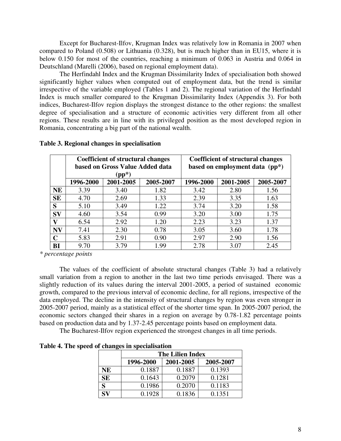Except for Bucharest-Ilfov, Krugman Index was relatively low in Romania in 2007 when compared to Poland (0.508) or Lithuania (0.328), but is much higher than in EU15, where it is below 0.150 for most of the countries, reaching a minimum of 0.063 in Austria and 0.064 in Deutschland (Marelli (2006), based on regional employment data).

The Herfindahl Index and the Krugman Dissimilarity Index of specialisation both showed significantly higher values when computed out of employment data, but the trend is similar irrespective of the variable employed (Tables 1 and 2). The regional variation of the Herfindahl Index is much smaller compared to the Krugman Dissimilarity Index (Appendix 3). For both indices, Bucharest-Ilfov region displays the strongest distance to the other regions: the smallest degree of specialisation and a structure of economic activities very different from all other regions. These results are in line with its privileged position as the most developed region in Romania, concentrating a big part of the national wealth.

|           |           | <b>Coefficient of structural changes</b> |           | <b>Coefficient of structural changes</b> |           |           |  |  |
|-----------|-----------|------------------------------------------|-----------|------------------------------------------|-----------|-----------|--|--|
|           |           | based on Gross Value Added data          |           | based on employment data $(pp^*)$        |           |           |  |  |
|           |           | $(pp^*)$                                 |           |                                          |           |           |  |  |
|           | 1996-2000 | 2001-2005                                | 2005-2007 | 1996-2000                                | 2001-2005 | 2005-2007 |  |  |
| <b>NE</b> | 3.39      | 3.40                                     | 1.82      | 3.42                                     | 2.80      | 1.56      |  |  |
| SE        | 4.70      | 2.69                                     | 1.33      | 2.39                                     | 3.35      | 1.63      |  |  |
| S         | 5.10      | 3.49                                     | 1.22      | 3.74                                     | 3.20      | 1.58      |  |  |
| $S_{V}$   | 4.60      | 3.54                                     | 0.99      | 3.20                                     | 3.00      | 1.75      |  |  |
| v         | 6.54      | 2.92                                     | 1.20      | 2.23                                     | 3.23      | 1.37      |  |  |
| <b>NV</b> | 7.41      | 2.30                                     | 0.78      | 3.05                                     | 3.60      | 1.78      |  |  |
| C         | 5.83      | 2.91                                     | 0.90      | 2.97                                     | 2.90      | 1.56      |  |  |
| BI        | 9.70      | 3.79                                     | 1.99      | 2.78                                     | 3.07      | 2.45      |  |  |

#### **Table 3. Regional changes in specialisation**

*\* percentage points* 

The values of the coefficient of absolute structural changes (Table 3) had a relatively small variation from a region to another in the last two time periods envisaged. There was a slightly reduction of its values during the interval 2001-2005, a period of sustained economic growth, compared to the previous interval of economic decline, for all regions, irrespective of the data employed. The decline in the intensity of structural changes by region was even stronger in 2005-2007 period, mainly as a statistical effect of the shorter time span. In 2005-2007 period, the economic sectors changed their shares in a region on average by 0.78-1.82 percentage points based on production data and by 1.37-2.45 percentage points based on employment data.

The Bucharest-Ilfov region experienced the strongest changes in all time periods.

| -         |                                     | <b>The Lilien Index</b> |        |  |  |  |  |  |  |  |  |
|-----------|-------------------------------------|-------------------------|--------|--|--|--|--|--|--|--|--|
|           | 2001-2005<br>1996-2000<br>2005-2007 |                         |        |  |  |  |  |  |  |  |  |
| NE        | 0.1887                              | 0.1887                  | 0.1393 |  |  |  |  |  |  |  |  |
| <b>SE</b> | 0.1643                              | 0.2079                  | 0.1281 |  |  |  |  |  |  |  |  |
| S         | 0.1986                              | 0.2070                  | 0.1183 |  |  |  |  |  |  |  |  |
| SV        | 0.1928                              | 0.1836                  | 0.1351 |  |  |  |  |  |  |  |  |

**Table 4. The speed of changes in specialisation**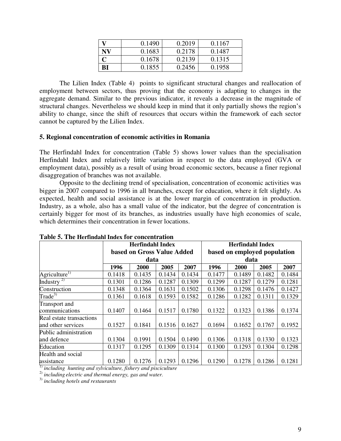|     | 0.1490 | 0.2019 | 0.1167 |
|-----|--------|--------|--------|
| N V | 0.1683 | 0.2178 | 0.1487 |
|     | 0.1678 | 0.2139 | 0.1315 |
| BI  | 0.1855 | 0.2456 | 0.1958 |

The Lilien Index (Table 4) points to significant structural changes and reallocation of employment between sectors, thus proving that the economy is adapting to changes in the aggregate demand. Similar to the previous indicator, it reveals a decrease in the magnitude of structural changes. Nevertheless we should keep in mind that it only partially shows the region's ability to change, since the shift of resources that occurs within the framework of each sector cannot be captured by the Lilien Index.

## **5. Regional concentration of economic activities in Romania**

The Herfindahl Index for concentration (Table 5) shows lower values than the specialisation Herfindahl Index and relatively little variation in respect to the data employed (GVA or employment data), possibly as a result of using broad economic sectors, because a finer regional disaggregation of branches was not available.

 Opposite to the declining trend of specialisation, concentration of economic activities was bigger in 2007 compared to 1996 in all branches, except for education, where it felt slightly. As expected, health and social assistance is at the lower margin of concentration in production. Industry, as a whole, also has a small value of the indicator, but the degree of concentration is certainly bigger for most of its branches, as industries usually have high economies of scale, which determines their concentration in fewer locations.

|                           |        | <b>Herfindahl Index</b>    |        |        | <b>Herfindahl Index</b><br>based on employed population |        |        |        |  |  |
|---------------------------|--------|----------------------------|--------|--------|---------------------------------------------------------|--------|--------|--------|--|--|
|                           |        | based on Gross Value Added |        |        |                                                         |        |        |        |  |  |
|                           |        | data                       |        |        |                                                         | data   |        |        |  |  |
|                           | 1996   | 2000                       | 2005   | 2007   | 1996                                                    | 2000   | 2005   | 2007   |  |  |
| Agriculture <sup>1)</sup> | 0.1418 | 0.1435                     | 0.1434 | 0.1434 | 0.1477                                                  | 0.1489 | 0.1482 | 0.1484 |  |  |
| Industry <sup>2)</sup>    | 0.1301 | 0.1286                     | 0.1287 | 0.1309 | 0.1299                                                  | 0.1287 | 0.1279 | 0.1281 |  |  |
| Construction              | 0.1348 | 0.1364                     | 0.1631 | 0.1502 | 0.1306                                                  | 0.1298 | 0.1476 | 0.1427 |  |  |
| $\text{Trade}^{3}$        | 0.1361 | 0.1618                     | 0.1593 | 0.1582 | 0.1286                                                  | 0.1282 | 0.1311 | 0.1329 |  |  |
| Transport and             |        |                            |        |        |                                                         |        |        |        |  |  |
| communications            | 0.1407 | 0.1464                     | 0.1517 | 0.1780 | 0.1322                                                  | 0.1323 | 0.1386 | 0.1374 |  |  |
| Real estate transactions  |        |                            |        |        |                                                         |        |        |        |  |  |
| and other services        | 0.1527 | 0.1841                     | 0.1516 | 0.1627 | 0.1694                                                  | 0.1652 | 0.1767 | 0.1952 |  |  |
| Public administration     |        |                            |        |        |                                                         |        |        |        |  |  |
| and defence               | 0.1304 | 0.1991                     | 0.1504 | 0.1490 | 0.1306                                                  | 0.1318 | 0.1330 | 0.1323 |  |  |
| Education                 | 0.1317 | 0.1295                     | 0.1309 | 0.1314 | 0.1300                                                  | 0.1293 | 0.1304 | 0.1298 |  |  |
| Health and social         |        |                            |        |        |                                                         |        |        |        |  |  |
| assistance                | 0.1280 | 0.1276                     | 0.1293 | 0.1296 | 0.1290                                                  | 0.1278 | 0.1286 | 0.1281 |  |  |

1) *including hunting and sylviculture, fishery and pisciculture*

2) *including electric and thermal energy, gas and water.*

3) *including hotels and restaurants*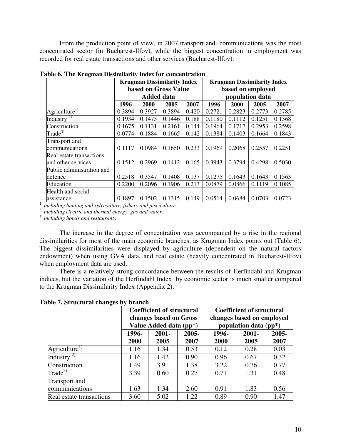From the production point of view, in 2007 transport and communications was the most concentrated sector (in Bucharest-Ilfov), while the biggest concentration in employment was recorded for real estate transactions and other services (Bucharest-Ilfov).

| adie of The Islaghan Dissimiatity mack for concentration |        | <b>Krugman Dissimilarity Index</b> |        |       |                   |                 | <b>Krugman Dissimilarity Index</b> |        |  |  |
|----------------------------------------------------------|--------|------------------------------------|--------|-------|-------------------|-----------------|------------------------------------|--------|--|--|
|                                                          |        | based on Gross Value               |        |       | based on employed |                 |                                    |        |  |  |
|                                                          |        | <b>Added data</b>                  |        |       |                   | population data |                                    |        |  |  |
|                                                          | 1996   | 2000                               | 2005   | 2007  | 1996              | 2000            | 2005                               | 2007   |  |  |
| Agriculture <sup>1)</sup>                                | 0.3894 | 0.3927                             | 0.3894 | 0.420 | 0.2721            | 0.2823          | 0.2773                             | 0.2785 |  |  |
| Industry $\frac{2}{2}$                                   | 0.1934 | 0.1475                             | 0.1446 | 0.188 | 0.1180            | 0.1112          | 0.1251                             | 0.1368 |  |  |
| Construction                                             | 0.1675 | 0.1131                             | 0.2161 | 0.144 | 0.1964            | 0.1717          | 0.2953                             | 0.2598 |  |  |
| $\text{Trade}^{3)}$                                      | 0.0774 | 0.1884                             | 0.1665 | 0.142 | 0.1384            | 0.1403          | 0.1664                             | 0.1843 |  |  |
| Transport and                                            |        |                                    |        |       |                   |                 |                                    |        |  |  |
| communications                                           | 0.1117 | 0.0984                             | 0.1650 | 0.233 | 0.1969            | 0.2068          | 0.2557                             | 0.2251 |  |  |
| Real estate transactions                                 |        |                                    |        |       |                   |                 |                                    |        |  |  |
| and other services                                       | 0.1512 | 0.2969                             | 0.1412 | 0.165 | 0.3943            | 0.3794          | 0.4298                             | 0.5030 |  |  |
| Public administration and                                |        |                                    |        |       |                   |                 |                                    |        |  |  |
| defence                                                  | 0.2518 | 0.3547                             | 0.1408 | 0.137 | 0.1275            | 0.1643          | 0.1643                             | 0.1563 |  |  |
| Education                                                | 0.2200 | 0.2096                             | 0.1906 | 0.213 | 0.0879            | 0.0866          | 0.1119                             | 0.1085 |  |  |
| Health and social                                        |        |                                    |        |       |                   |                 |                                    |        |  |  |
| assistance                                               | 0.1897 | 0.1502                             | 0.1315 | 0.149 | 0.0514            | 0.0684          | 0.0703                             | 0.0723 |  |  |

**Table 6. The Krugman Dissimilarity Index for concentration** 

1) *including hunting and sylviculture, fishery and pisciculture*

2) *including electric and thermal energy, gas and water.*

3) *including hotels and restaurants* 

The increase in the degree of concentration was accompanied by a rise in the regional dissimilarities for most of the main economic branches, as Krugman Index points out (Table 6). The biggest dissimilarities were displayed by agriculture (dependent on the natural factors endowment) when using GVA data, and real estate (heavily concentrated in Bucharest-Ilfov) when employment data are used.

There is a relatively strong concordance between the results of Herfindahl and Krugman indices, but the variation of the Herfindahl Index by economic sector is much smaller compared to the Krugman Dissimilarity Index (Appendix 2).

**Table 7. Structural changes by branch** 

| ັ                         |               | <b>Coefficient of structural</b><br>changes based on Gross |               | <b>Coefficient of structural</b><br>changes based on employed |                       |               |  |
|---------------------------|---------------|------------------------------------------------------------|---------------|---------------------------------------------------------------|-----------------------|---------------|--|
|                           |               | Value Added data (pp*)                                     |               |                                                               | population data (pp*) |               |  |
|                           | 1996-<br>2000 | $2001 -$<br>2005                                           | 2005-<br>2007 | 1996-<br>2000                                                 | $2001 -$<br>2005      | 2005-<br>2007 |  |
| Agriculture <sup>1)</sup> | 1.16          | 1.34                                                       | 0.53          | 0.12                                                          | 0.28                  | 0.03          |  |
| Industry <sup>2)</sup>    | 1.16          | 1.42                                                       | 0.90          | 0.96                                                          | 0.67                  | 0.32          |  |
| Construction              | 1.49          | 3.91                                                       | 1.38          | 3.22                                                          | 0.76                  | 0.77          |  |
| $\text{Trade}^{3}$        | 3.39          | 0.60                                                       | 0.27          | 0.71                                                          | 1.31                  | 0.48          |  |
| Transport and             |               |                                                            |               |                                                               |                       |               |  |
| communications            | 1.63          | 1.34                                                       | 2.60          | 0.91                                                          | 1.83                  | 0.56          |  |
| Real estate transactions  | 3.60          | 5.02                                                       | 1.22          | 0.89                                                          | 0.90                  | 1.47          |  |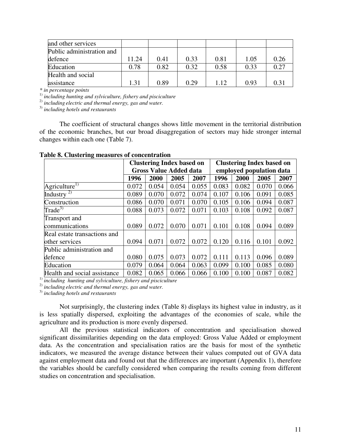| and other services        |       |      |      |      |      |      |
|---------------------------|-------|------|------|------|------|------|
| Public administration and |       |      |      |      |      |      |
| defence                   | 11.24 | 0.41 | 0.33 | 0.81 | 1.05 | 0.26 |
| Education                 | 0.78  | 0.82 | 0.32 | 0.58 | 0.33 | 0.27 |
| Health and social         |       |      |      |      |      |      |
| assistance                | 1.31  | 0.89 | 0.29 | 1.12 | 0.93 | 0.31 |

*\* in percentage points* 

1) *including hunting and sylviculture, fishery and pisciculture*

2) *including electric and thermal energy, gas and water.*

3) *including hotels and restaurants* 

The coefficient of structural changes shows little movement in the territorial distribution of the economic branches, but our broad disaggregation of sectors may hide stronger internal changes within each one (Table 7).

|  |  | Table 8. Clustering measures of concentration |
|--|--|-----------------------------------------------|
|  |  |                                               |

|                              | <b>Clustering Index based on</b> |       |       |       | <b>Clustering Index based on</b> |       |       |       |
|------------------------------|----------------------------------|-------|-------|-------|----------------------------------|-------|-------|-------|
|                              | <b>Gross Value Added data</b>    |       |       |       | employed population data         |       |       |       |
|                              | 1996                             | 2000  | 2005  | 2007  | 1996                             | 2000  | 2005  | 2007  |
| Agriculture <sup>1)</sup>    | 0.072                            | 0.054 | 0.054 | 0.055 | 0.083                            | 0.082 | 0.070 | 0.066 |
| Industry <sup>2)</sup>       | 0.089                            | 0.070 | 0.072 | 0.074 | 0.107                            | 0.106 | 0.091 | 0.085 |
| Construction                 | 0.086                            | 0.070 | 0.071 | 0.070 | 0.105                            | 0.106 | 0.094 | 0.087 |
| $\text{Trade}^{3)}$          | 0.088                            | 0.073 | 0.072 | 0.071 | 0.103                            | 0.108 | 0.092 | 0.087 |
| <b>Transport</b> and         |                                  |       |       |       |                                  |       |       |       |
| communications               | 0.089                            | 0.072 | 0.070 | 0.071 | 0.101                            | 0.108 | 0.094 | 0.089 |
| Real estate transactions and |                                  |       |       |       |                                  |       |       |       |
| other services               | 0.094                            | 0.071 | 0.072 | 0.072 | 0.120                            | 0.116 | 0.101 | 0.092 |
| Public administration and    |                                  |       |       |       |                                  |       |       |       |
| defence                      | 0.080                            | 0.075 | 0.073 | 0.072 | 0.111                            | 0.113 | 0.096 | 0.089 |
| Education                    | 0.079                            | 0.064 | 0.064 | 0.063 | 0.099                            | 0.100 | 0.085 | 0.080 |
| Health and social assistance | 0.082                            | 0.065 | 0.066 | 0.066 | 0.100                            | 0.100 | 0.087 | 0.082 |

1) *including hunting and sylviculture, fishery and pisciculture*

2) *including electric and thermal energy, gas and water.*

3) *including hotels and restaurants* 

 Not surprisingly, the clustering index (Table 8) displays its highest value in industry, as it is less spatially dispersed, exploiting the advantages of the economies of scale, while the agriculture and its production is more evenly dispersed.

All the previous statistical indicators of concentration and specialisation showed significant dissimilarities depending on the data employed: Gross Value Added or employment data. As the concentration and specialisation ratios are the basis for most of the synthetic indicators, we measured the average distance between their values computed out of GVA data against employment data and found out that the differences are important (Appendix 1), therefore the variables should be carefully considered when comparing the results coming from different studies on concentration and specialisation.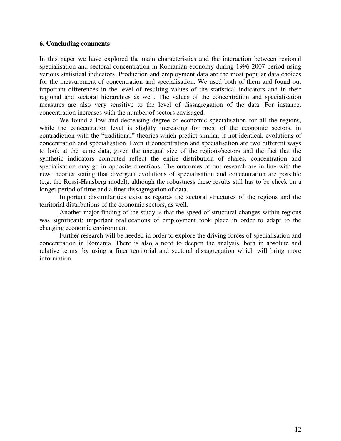#### **6. Concluding comments**

In this paper we have explored the main characteristics and the interaction between regional specialisation and sectoral concentration in Romanian economy during 1996-2007 period using various statistical indicators. Production and employment data are the most popular data choices for the measurement of concentration and specialisation. We used both of them and found out important differences in the level of resulting values of the statistical indicators and in their regional and sectoral hierarchies as well. The values of the concentration and specialisation measures are also very sensitive to the level of dissagregation of the data. For instance, concentration increases with the number of sectors envisaged.

We found a low and decreasing degree of economic specialisation for all the regions, while the concentration level is slightly increasing for most of the economic sectors, in contradiction with the "traditional" theories which predict similar, if not identical, evolutions of concentration and specialisation. Even if concentration and specialisation are two different ways to look at the same data, given the unequal size of the regions/sectors and the fact that the synthetic indicators computed reflect the entire distribution of shares, concentration and specialisation may go in opposite directions. The outcomes of our research are in line with the new theories stating that divergent evolutions of specialisation and concentration are possible (e.g. the Rossi-Hansberg model), although the robustness these results still has to be check on a longer period of time and a finer dissagregation of data.

Important dissimilarities exist as regards the sectoral structures of the regions and the territorial distributions of the economic sectors, as well.

Another major finding of the study is that the speed of structural changes within regions was significant; important reallocations of employment took place in order to adapt to the changing economic environment.

Further research will be needed in order to explore the driving forces of specialisation and concentration in Romania. There is also a need to deepen the analysis, both in absolute and relative terms, by using a finer territorial and sectoral dissagregation which will bring more information.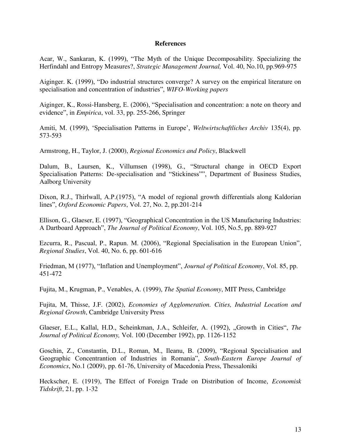#### **References**

Acar, W., Sankaran, K. (1999), "The Myth of the Unique Decomposability. Specializing the Herfindahl and Entropy Measures?, *Strategic Management Journal,* Vol. 40, No.10, pp.969-975

Aiginger. K. (1999), "Do industrial structures converge? A survey on the empirical literature on specialisation and concentration of industries", *WIFO-Working papers* 

Aiginger, K., Rossi-Hansberg, E. (2006), "Specialisation and concentration: a note on theory and evidence", in *Empirica*, vol. 33, pp. 255-266, Springer

Amiti, M. (1999), 'Specialisation Patterns in Europe', *Weltwirtschaftliches Archiv* 135(4), pp. 573-593

Armstrong, H., Taylor, J. (2000), *Regional Economics and Policy*, Blackwell

Dalum, B., Laursen, K., Villumsen (1998), G., "Structural change in OECD Export Specialisation Patterns: De-specialisation and "Stickiness"", Department of Business Studies, Aalborg University

Dixon, R.J., Thirlwall, A.P.(1975), "A model of regional growth differentials along Kaldorian lines", *Oxford Economic Papers*, Vol. 27, No. 2, pp.201-214

Ellison, G., Glaeser, E. (1997), "Geographical Concentration in the US Manufacturing Industries: A Dartboard Approach", *The Journal of Political Economy*, Vol. 105, No.5, pp. 889-927

Ezcurra, R., Pascual, P., Rapun. M. (2006), "Regional Specialisation in the European Union", *Regional Studies*, Vol. 40, No. 6, pp. 601-616

Friedman, M (1977), "Inflation and Unemployment", *Journal of Political Economy*, Vol. 85, pp. 451-472

Fujita, M., Krugman, P., Venables, A. (1999), *The Spatial Economy*, MIT Press, Cambridge

Fujita, M, Thisse, J.F. (2002), *Economies of Agglomeration. Cities, Industrial Location and Regional Growth*, Cambridge University Press

Glaeser, E.L., Kallal, H.D., Scheinkman, J.A., Schleifer, A. (1992), "Growth in Cities", *The Journal of Political Economy,* Vol. 100 (December 1992), pp. 1126-1152

Goschin, Z., Constantin, D.L., Roman, M., Ileanu, B. (2009), "Regional Specialisation and Geographic Concentrantion of Industries in Romania", *South-Eastern Europe Journal of Economics*, No.1 (2009), pp. 61-76, University of Macedonia Press, Thessaloniki

Heckscher, E. (1919), The Effect of Foreign Trade on Distribution of Income, *Economisk Tidskrift*, 21, pp. 1-32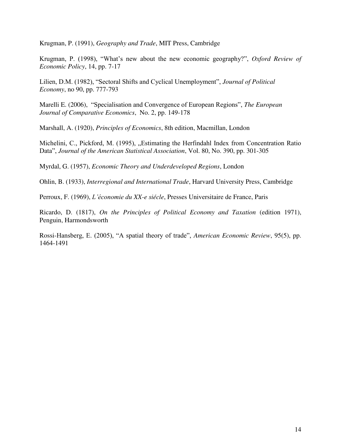Krugman, P. (1991), *Geography and Trade*, MIT Press, Cambridge

Krugman, P. (1998), "What's new about the new economic geography?", *Oxford Review of Economic Policy*, 14, pp. 7-17

Lilien, D.M. (1982), "Sectoral Shifts and Cyclical Unemployment", *Journal of Political Economy*, no 90, pp. 777-793

Marelli E. (2006), "Specialisation and Convergence of European Regions", *The European Journal of Comparative Economics*, No. 2, pp. 149-178

Marshall, A. (1920), *Principles of Economics*, 8th edition, Macmillan, London

Michelini, C., Pickford, M. (1995), "Estimating the Herfindahl Index from Concentration Ratio Data", *Journal of the American Statistical Association*, Vol. 80, No. 390, pp. 301-305

Myrdal, G. (1957), *Economic Theory and Underdeveloped Regions*, London

Ohlin, B. (1933), *Interregional and International Trade*, Harvard University Press, Cambridge

Perroux, F. (1969), *L'économie du XX-e siécle*, Presses Universitaire de France, Paris

Ricardo, D. (1817), *On the Principles of Political Economy and Taxation* (edition 1971), Penguin, Harmondsworth

Rossi-Hansberg, E. (2005), "A spatial theory of trade", *American Economic Review*, 95(5), pp. 1464-1491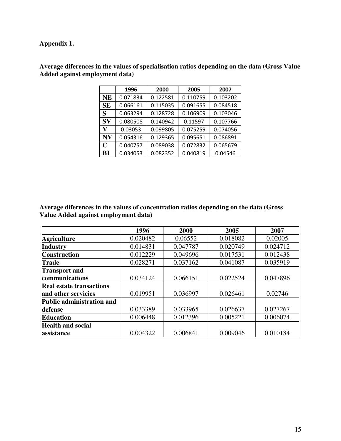# **Appendix 1.**

|           | 1996     | 2000     | 2005     | 2007     |
|-----------|----------|----------|----------|----------|
| NE        | 0.071834 | 0.122581 | 0.110759 | 0.103202 |
| <b>SE</b> | 0.066161 | 0.115035 | 0.091655 | 0.084518 |
| S         | 0.063294 | 0.128728 | 0.106909 | 0.103046 |
| SV        | 0.080508 | 0.140942 | 0.11597  | 0.107766 |
| V         | 0.03053  | 0.099805 | 0.075259 | 0.074056 |
| N V       | 0.054316 | 0.129365 | 0.095651 | 0.086891 |
| C         | 0.040757 | 0.089038 | 0.072832 | 0.065679 |
| BI        | 0.034053 | 0.082352 | 0.040819 | 0.04546  |

**Average diferences in the values of specialisation ratios depending on the data (Gross Value Added against employment data)**

**Average diferences in the values of concentration ratios depending on the data (Gross Value Added against employment data)** 

|                                  | 1996     | 2000     | 2005     | 2007     |
|----------------------------------|----------|----------|----------|----------|
| <b>Agriculture</b>               | 0.020482 | 0.06552  | 0.018082 | 0.02005  |
| <b>Industry</b>                  | 0.014831 | 0.047787 | 0.020749 | 0.024712 |
| <b>Construction</b>              | 0.012229 | 0.049696 | 0.017531 | 0.012438 |
| <b>Trade</b>                     | 0.028271 | 0.037162 | 0.041087 | 0.035919 |
| <b>Transport and</b>             |          |          |          |          |
| communications                   | 0.034124 | 0.066151 | 0.022524 | 0.047896 |
| <b>Real estate transactions</b>  |          |          |          |          |
| and other servicies              | 0.019951 | 0.036997 | 0.026461 | 0.02746  |
| <b>Public administration and</b> |          |          |          |          |
| defense                          | 0.033389 | 0.033965 | 0.026637 | 0.027267 |
| <b>Education</b>                 | 0.006448 | 0.012396 | 0.005221 | 0.006074 |
| <b>Health and social</b>         |          |          |          |          |
| assistance                       | 0.004322 | 0.006841 | 0.009046 | 0.010184 |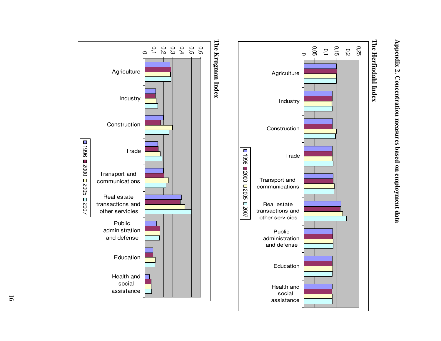